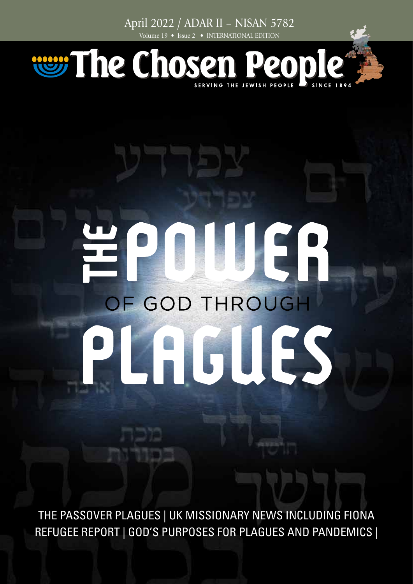April 2022 / ADAR II – NISAN 5782 Volume 19 • Issue 2 • INTERNATIONAL EDITION

# The Chosen People

# EPUUER OF GOD THROUGH PLAGUES

THE PASSOVER PLAGUES | UK MISSIONARY NEWS INCLUDING FIONA REFUGEE REPORT | GOD'S PURPOSES FOR PLAGUES AND PANDEMICS |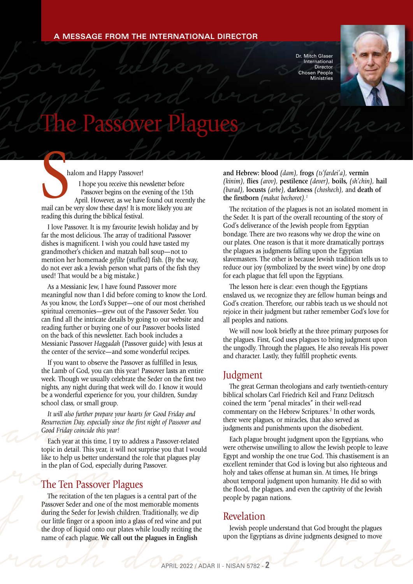Dr. Mitch Glaser International Director Chosen People **Ministries** 



# from Passbuer Phagues ids Uhen Phe Passover Plagues

halom and Happy Passover!<br>
halom and Happy Passover!<br>
I hope you receive this newsletter before (*kinim*), flies (*arov*), pestilence (*dever*), boils, (*sh'chin*), hail<br>
Passover begins on the evening of the 15th<br>
April. Passover begins<br>
Passover begins<br>
April. However, as<br>
mail can be very slow these da<br>
reading this during the biblica<br>
I love Passover. It is my fav<br>
far the most delicious. The an halom and Happy Passover! I hope you receive this newsletter before Passover begins on the evening of the 15th April. However, as we have found out recently the halom and Happy Passover!<br>
I hope you receive this newsletter before<br>
Passover begins on the evening of the 15th<br>
April. However, as we have found out recently<br>
mail can be very slow these days! It is more likely you are reading this during the biblical festival.

I love Passover. It is my favourite Jewish holiday and by far the most delicious. The array of traditional Passover dishes is magnificent. I wish you could have tasted my grandmother's chicken and matzah ball soup—not to mention her homemade *gefilte* (stuffed) fish. (By the way, do not ever ask a Jewish person what parts of the fish they used! That would be a big mistake.)

As a Messianic Jew, I have found Passover more meaningful now than I did before coming to know the Lord. As you know, the Lord's Supper—one of our most cherished spiritual ceremonies—grew out of the Passover Seder. You can find all the intricate details by going to our website and reading further or buying one of our Passover books listed on the back of this newsletter. Each book includes a Messianic Passover *Haggadah* (Passover guide) with Jesus at the center of the service—and some wonderful recipes.

If you want to observe the Passover as fulfilled in Jesus, the Lamb of God, you can this year! Passover lasts an entire week. Though we usually celebrate the Seder on the first two nights, any night during that week will do. I know it would be a wonderful experience for you, your children, Sunday school class, or small group.

*It will also further prepare your hearts for Good Friday and Resurrection Day, especially since the first night of Passover and Good Friday coincide this year!*

school class, or smal<br>
It will also further p<br>
Resurrection Day, espe<br>
Good Friday coincide i<br>
Each year at this ti<br>
topic in detail. This y<br>
like to help us better Example in detail. This year, it will not be to help us better understand<br>in the plan of God, especially du<br>The Ten Passover Plag<br>The recitation of the ten plague Each year at this time, I try to address a Passover-related topic in detail. This year, it will not surprise you that I would like to help us better understand the role that plagues play in the plan of God, especially during Passover.

#### The Ten Passover Plagues

THE TEIT P'ASSOVET P'IAgues<br>The recitation of the ten plagues is a central part<br>Passover Seder and one of the most memorable m<br>during the Seder for Jewish children. Traditionally,<br>our little finger or a spoon into a glass the drop of liquid onto our plates while loudly reciting the<br>
name of each plague. We call out the plagues in English<br>
MAPRIL 2022 / ADAR II - NISAN 5782 - 2 The recitation of the ten plagues is a central part of the Passover Seder and one of the most memorable moments during the Seder for Jewish children. Traditionally, we dip our little finger or a spoon into a glass of red wine and put the drop of liquid onto our plates while loudly reciting the name of each plague. **We call out the plagues in English** 

**and Hebrew: blood** *(dam),* **frogs** *(ts'fardei'a),* **vermin**  *(kinim),* **flies** *(arov),* **pestilence** *(dever),* **boils,** *(sh'chin),* **hail**  *(barad),* **locusts** *(arbe),* **darkness** *(choshech),* and **death of the firstborn** *(makat bechorot).1*

The recitation of the plagues is not an isolated moment in the Seder. It is part of the overall recounting of the story of God's deliverance of the Jewish people from Egyptian bondage. There are two reasons why we drop the wine on our plates. One reason is that it more dramatically portrays the plagues as judgments falling upon the Egyptian slavemasters. The other is because Jewish tradition tells us to reduce our joy (symbolized by the sweet wine) by one drop for each plague that fell upon the Egyptians.

The lesson here is clear: even though the Egyptians enslaved us, we recognize they are fellow human beings and God's creation. Therefore, our rabbis teach us we should not rejoice in their judgment but rather remember God's love for all peoples and nations.

We will now look briefly at the three primary purposes for the plagues. First, God uses plagues to bring judgment upon the ungodly. Through the plagues, He also reveals His power and character. Lastly, they fulfill prophetic events.

#### Judgment

The great German theologians and early twentieth-century biblical scholars Carl Friedrich Keil and Franz Delitzsch coined the term "penal miracles" in their well-read commentary on the Hebrew Scriptures.<sup>2</sup> In other words, there were plagues, or miracles, that also served as judgments and punishments upon the disobedient.

Each plague brought judgment upon the Egyptians, who were otherwise unwilling to allow the Jewish people to leave Egypt and worship the one true God. This chastisement is an excellent reminder that God is loving but also righteous and holy and takes offense at human sin. At times, He brings about temporal judgment upon humanity. He did so with the flood, the plagues, and even the captivity of the Jewish people by pagan nations.

#### Revelation

Jewish people understand that God brought the plagues upon the Egyptians as divine judgments designed to move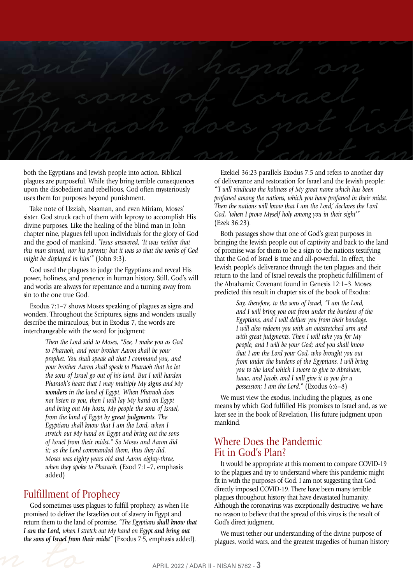"The Egyptians shall know that I am the **FROM OUR MISSIONARIES** ant My hand on the sons of Usrael<br>Tharaoh does not liste<br>both the Egyptians and Jewish people into action. Biblical existed as 23.23 parallels Exodus 7:5 and refers to another day

both the Egyptians and Jewish people into action. Biblical plagues are purposeful. While they bring terrible consequences upon the disobedient and rebellious, God often mysteriously uses them for purposes beyond punishment.

Take note of Uzziah, Naaman, and even Miriam, Moses' sister. God struck each of them with leprosy to accomplish His divine purposes. Like the healing of the blind man in John chapter nine, plagues fell upon individuals for the glory of God and the good of mankind. *"Jesus answered, 'It was neither that this man sinned, nor his parents; but it was so that the works of God might be displayed in him'"* (John 9:3).

God used the plagues to judge the Egyptians and reveal His power, holiness, and presence in human history. Still, God's will and works are always for repentance and a turning away from sin to the one true God.

Exodus 7:1–7 shows Moses speaking of plagues as signs and wonders. Throughout the Scriptures, signs and wonders usually describe the miraculous, but in Exodus 7, the words are interchangeable with the word for judgment:

> *Then the Lord said to Moses, "See, I make you as God to Pharaoh, and your brother Aaron shall be your prophet. You shall speak all that I command you, and your brother Aaron shall speak to Pharaoh that he let the sons of Israel go out of his land. But I will harden Pharaoh's heart that I may multiply My signs and My wonders in the land of Egypt. When Pharaoh does not listen to you, then I will lay My hand on Egypt and bring out My hosts, My people the sons of Israel, from the land of Egypt by great judgments. The Egyptians shall know that I am the Lord, when I stretch out My hand on Egypt and bring out the sons of Israel from their midst." So Moses and Aaron did it; as the Lord commanded them, thus they did. Moses was eighty years old and Aaron eighty-three, when they spoke to Pharaoh.* (Exod 7:1–7, emphasis added)

#### Fulfillment of Prophecy

I am the Lord, when I stretch out My hand on Egypt and bring out<br>the sons of Israel from their midst" (Exodus 7:5, emphasis added).<br>APRIL 2022 / ADAR II - NISAN 5782 - **3**<br>APRIL 2022 / ADAR II - NISAN 5782 - **3** God sometimes uses plagues to fulfill prophecy, as when He promised to deliver the Israelites out of slavery in Egypt and return them to the land of promise. *"The Egyptians shall know that I am the Lord, when I stretch out My hand on Egypt and bring out the sons of Israel from their midst"* (Exodus 7:5, emphasis added).

both the Egyptians and Jewish people into action. Biblical<br>plagues are purposeful. While they bring terrible consequences<br>upon the disobedient and rebellious, God often mysteriously<br>uses them for purposes beyond punishment Ezekiel 36:23 parallels Exodus 7:5 and refers to another day of deliverance and restoration for Israel and the Jewish people: *"'I will vindicate the holiness of My great name which has been profaned among the nations, which you have profaned in their midst. Then the nations will know that I am the Lord,' declares the Lord God, 'when I prove Myself holy among you in their sight'"*  (Ezek 36:23).

> Both passages show that one of God's great purposes in bringing the Jewish people out of captivity and back to the land of promise was for them to be a sign to the nations testifying that the God of Israel is true and all-powerful. In effect, the Jewish people's deliverance through the ten plagues and their return to the land of Israel reveals the prophetic fulfillment of the Abrahamic Covenant found in Genesis 12:1–3. Moses predicted this result in chapter six of the book of Exodus:

> > *Say, therefore, to the sons of Israel, "I am the Lord, and I will bring you out from under the burdens of the Egyptians, and I will deliver you from their bondage. I will also redeem you with an outstretched arm and with great judgments. Then I will take you for My people, and I will be your God; and you shall know that I am the Lord your God, who brought you out from under the burdens of the Egyptians. I will bring you to the land which I swore to give to Abraham, Isaac, and Jacob, and I will give it to you for a possession; I am the Lord."* (Exodus 6:6–8)

We must view the exodus, including the plagues, as one means by which God fulfilled His promises to Israel and, as we later see in the book of Revelation, His future judgment upon mankind.

#### Where Does the Pandemic Fit in God's Plan?

It would be appropriate at this moment to compare COVID-19 to the plagues and try to understand where this pandemic might fit in with the purposes of God. I am not suggesting that God directly imposed COVID-19. There have been many terrible plagues throughout history that have devastated humanity. Although the coronavirus was exceptionally destructive, we have no reason to believe that the spread of this virus is the result of God's direct judgment.

We must tether our understanding of the divine purpose of plagues, world wars, and the greatest tragedies of human history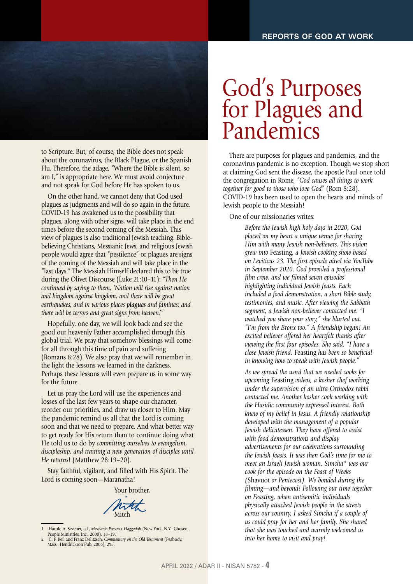

to Scripture. But, of course, the Bible does not speak about the coronavirus, the Black Plague, or the Spanish Flu. Therefore, the adage, "Where the Bible is silent, so am I," is appropriate here. We must avoid conjecture and not speak for God before He has spoken to us.

On the other hand, we cannot deny that God used plagues as judgments and will do so again in the future. COVID-19 has awakened us to the possibility that plagues, along with other signs, will take place in the end times before the second coming of the Messiah. This view of plagues is also traditional Jewish teaching. Biblebelieving Christians, Messianic Jews, and religious Jewish people would agree that "pestilence" or plagues are signs of the coming of the Messiah and will take place in the "last days." The Messiah Himself declared this to be true during the Olivet Discourse (Luke 21:10–11): *"Then He continued by saying to them, 'Nation will rise against nation and kingdom against kingdom, and there will be great earthquakes, and in various places plagues and famines; and there will be terrors and great signs from heaven.'"*

Hopefully, one day, we will look back and see the good our heavenly Father accomplished through this global trial. We pray that somehow blessings will come for all through this time of pain and suffering (Romans 8:28). We also pray that we will remember in the light the lessons we learned in the darkness. Perhaps these lessons will even prepare us in some way for the future.

Let us pray the Lord will use the experiences and losses of the last few years to shape our character, reorder our priorities, and draw us closer to Him. May the pandemic remind us all that the Lord is coming soon and that we need to prepare. And what better way to get ready for His return than to continue doing what He told us to do by *committing ourselves to evangelism, discipleship, and training a new generation of disciples until He returns*! (Matthew 28:19–20).

Stay faithful, vigilant, and filled with His Spirit. The Lord is coming soon—Maranatha!

Your brother,

Mitch

1 Harold A. Sevener, ed., *Messianic Passover Haggadah* (New York, N.Y.: Chosen People Ministries, Inc., 2000), 18–19. 2 C. F. Keil and Franz Delitzsch, *Commentary on the Old Testament* (Peabody,

Mass.: Hendrickson Pub, 2006), 295.

## God's Purposes for Plagues and **Pandemics**

There are purposes for plagues and pandemics, and the coronavirus pandemic is no exception. Though we stop short at claiming God sent the disease, the apostle Paul once told the congregation in Rome, *"God causes all things to work together for good to those who love God"* (Rom 8:28). COVID-19 has been used to open the hearts and minds of Jewish people to the Messiah!

One of our missionaries writes:

*Before the Jewish high holy days in 2020, God placed on my heart a unique venue for sharing Him with many Jewish non-believers. This vision grew into* Feasting, *a Jewish cooking show based on Leviticus 23. The first episode aired via YouTube in September 2020. God provided a professional film crew, and we filmed seven episodes highlighting individual Jewish feasts. Each included a food demonstration, a short Bible study, testimonies, and music. After viewing the Sabbath segment, a Jewish non-believer contacted me: "I watched you share your story," she blurted out. "I'm from the Bronx too." A friendship began! An excited believer offered her heartfelt thanks after viewing the first four episodes. She said, "I have a close Jewish friend.* Feasting *has been so beneficial in knowing how to speak with Jewish people."* 

*As we spread the word that we needed cooks for upcoming* Feasting *videos, a kosher chef working under the supervision of an ultra-Orthodox rabbi contacted me. Another kosher cook working with the Hasidic community expressed interest. Both knew of my belief in Jesus. A friendly relationship developed with the management of a popular Jewish delicatessen. They have offered to assist with food demonstrations and display advertisements for our celebrations surrounding the Jewish feasts. It was then God's time for me to meet an Israeli Jewish woman. Simcha\* was our cook for the episode on the Feast of Weeks (*Shavuot *or Pentecost). We bonded during the filming—and beyond! Following our time together on Feasting, when antisemitic individuals physically attacked Jewish people in the streets across our country, I asked Simcha if a couple of us could pray for her and her family. She shared that she was touched and warmly welcomed us into her home to visit and pray!*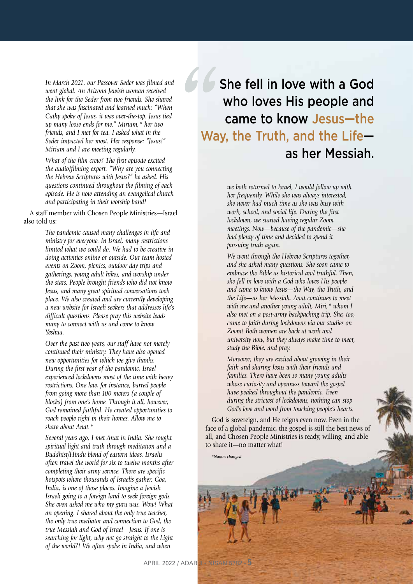*In March 2021, our Passover Seder was filmed and went global. An Arizona Jewish woman received the link for the Seder from two friends. She shared that she was fascinated and learned much: "When Cathy spoke of Jesus, it was over-the-top. Jesus tied up many loose ends for me." Miriam,\* her two friends, and I met for tea. I asked what in the Seder impacted her most. Her response: "Jesus!" Miriam and I are meeting regularly.*

*What of the film crew? The first episode excited the audio/filming expert. "Why are you connecting the Hebrew Scriptures with Jesus?" he asked. His questions continued throughout the filming of each episode. He is now attending an evangelical church and participating in their worship band!* 

A staff member with Chosen People Ministries—Israel also told us:

> *The pandemic caused many challenges in life and ministry for everyone. In Israel, many restrictions limited what we could do. We had to be creative in doing activities online or outside. Our team hosted events on Zoom, picnics, outdoor day trips and gatherings, young adult hikes, and worship under the stars. People brought friends who did not know Jesus, and many great spiritual conversations took place. We also created and are currently developing a new website for Israeli seekers that addresses life's difficult questions. Please pray this website leads many to connect with us and come to know Yeshua.*

> *Over the past two years, our staff have not merely continued their ministry. They have also opened new opportunities for which we give thanks. During the first year of the pandemic, Israel experienced lockdowns most of the time with heavy restrictions. One law, for instance, barred people from going more than 100 meters (a couple of blocks) from one's home. Through it all, however, God remained faithful. He created opportunities to reach people right in their homes. Allow me to share about Anat.\**

> *Several years ago, I met Anat in India. She sought spiritual light and truth through meditation and a Buddhist/Hindu blend of eastern ideas. Israelis often travel the world for six to twelve months after completing their army service. There are specific hotspots where thousands of Israelis gather. Goa, India, is one of those places. Imagine a Jewish Israeli going to a foreign land to seek foreign gods. She even asked me who my guru was. Wow! What an opening. I shared about the only true teacher, the only true mediator and connection to God, the true Messiah and God of Israel—Jesus. If one is searching for light, why not go straight to the Light of the world?! We often spoke in India, and when*

She fell in love with a God who loves His people and came to know Jesus—the Way, the Truth, and the Life as her Messiah.

> *we both returned to Israel, I would follow up with her frequently. While she was always interested, she never had much time as she was busy with work, school, and social life. During the first lockdown, we started having regular Zoom meetings. Now—because of the pandemic—she had plenty of time and decided to spend it pursuing truth again.*

*We went through the Hebrew Scriptures together, and she asked many questions. She soon came to embrace the Bible as historical and truthful. Then, she fell in love with a God who loves His people and came to know Jesus—the Way, the Truth, and the Life—as her Messiah. Anat continues to meet with me and another young adult, Miri,\* whom I also met on a post-army backpacking trip. She, too, came to faith during lockdowns via our studies on Zoom! Both women are back at work and university now, but they always make time to meet, study the Bible, and pray.*

*Moreover, they are excited about growing in their faith and sharing Jesus with their friends and families. There have been so many young adults whose curiosity and openness toward the gospel have peaked throughout the pandemic. Even during the strictest of lockdowns, nothing can stop God's love and word from touching people's hearts.* 

God is sovereign, and He reigns even now. Even in the face of a global pandemic, the gospel is still the best news of all, and Chosen People Ministries is ready, willing, and able to share it—no matter what!

*\*Names changed.*

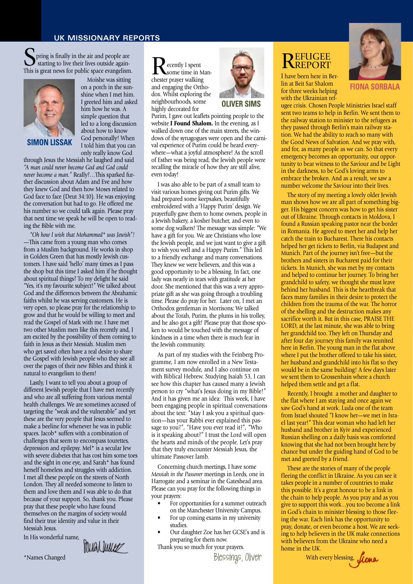#### **UK MISSIONARY REPORTS**

simple question that led to a long discussion about how to know God personally! When I told him that you can only really know God

**S** pring is finally in the air and people are starting to live their lives outside again-<br>This is great news for public space examplism This is great news for public space evangelism.



**SIMON LISSAK**

through Jesus the Messiah he laughed and said *"A man could never become God and God could never become a man."* Really?…This sparked further discussion about Adam and Eve and how they knew God and then how Moses related to God face to face (Deut 34:10). He was enjoying the conversation but had to go. He offered me his number so we could talk again. Please pray that next time we speak he will be open to reading the Bible with me.

*"Oh how I wish that Mohammed\* was Jewish"!* —This came from a young man who comes from a Muslim background. He works in shop in Golders Green that has mostly Jewish customers. I have said 'hello' many times as I pass the shop but this time I asked him if he thought about spiritual things? To my delight he said "Yes, it's my favourite subject!" We talked about God and the differences between the Abrahamic faiths whilst he was serving customers. He is very open, so please pray for the relationship to grow and that he would be willing to meet and read the Gospel of Mark with me. I have met two other Muslim men like this recently and, I am excited by the possibility of them coming to faith in Jesus as their Messiah. Muslim men who get saved often have a real desire to share the Gospel with Jewish people who they see all over the pages of their new Bibles and think it natural to evangelism to them!

Lastly, I want to tell you about a group of different Jewish people that I have met recently and who are all suffering from various mental health challenges. We are sometimes accused of targeting the "weak and the vulnerable" and yet these are the very people that Jesus seemed to make a beeline for whenever he was in public spaces. Jacob\* suffers with a combination of challenges that seem to encompass tourettes, depression and epilepsy. Mel\* is a secular Jew with severe diabetes that has cost him some toes and the sight in one eye, and Sarah\* has found herself homeless and struggles with addiction. I met all these people on the streets of North London. They all needed someone to listen to them and love them and I was able to do that because of your support. So, thank you. Please pray that these people who have found themselves on the margins of society would find their true identity and value in their Messiah Jesus.

In His wonderful name,

Muallume

\*Names Changed



ecently I spent some time in Manchester prayer walking and engaging the Orthodox. Whilst exploring the neighbourhoods, some highly decorated for



Purim, I gave out leaflets pointing people to the website I Found Shalom. In the evening, as I walked down one of the main streets, the windows of the synagogues were open and the carnival experience of Purim could be heard everywhere—what a joyful atmosphere! As the scroll of Esther was being read, the Jewish people were recalling the miracle of how they are still alive, even today!

I was also able to be part of a small team to visit various homes giving out Purim gifts. We had prepared some keepsakes, beautifully embroidered with a 'Happy Purim' design. We prayerfully gave them to home owners, people in a Jewish bakery, a kosher butcher, and even to some dog walkers! The message was simple: "We have a gift for you. We are Christians who love the Jewish people, and we just want to give a gift to wish you well and a Happy Purim." This led to a friendly exchange and many conversations. They knew we were believers, and this was a good opportunity to be a blessing. In fact, one lady was nearly in tears with gratitude at her door. She mentioned that this was a very appropriate gift as she was going through a troubling time. Please do pray for her. Later on, I met an Orthodox gentleman in Morrisons; We talked about the Torah, Purim, the plums in his trolley, and he also got a gift! Please pray that those spoken to would be touched with the message of kindness in a time when there is much fear in the Jewish community.

As part of my studies with the Feinberg Programme, I am now enrolled in a New Testament survey module, and I also continue on with Biblical Hebrew. Studying Isaiah 53, I can see how this chapter has caused many a Jewish person to cry "what's Jesus doing in my Bible!" And it has given me an idea: This week, I have been engaging people in spiritual conversations about the text: "May I ask you a spiritual question—has your Rabbi ever explained this passage to you?", "Have you ever read it?", "Who is it speaking about?" I trust the Lord will open the hearts and minds of the people. Let's pray that they truly encounter Messiah Jesus, the ultimate Passover lamb.

Concerning church meetings, I have some *Messiah in the Passover* meetings in Leeds, one in Harrogate and a seminar in the Gateshead area. Please can you pray for the following things in your prayers:

- For opportunities for a summer outreach on the Manchester University Campus.
- For up coming exams in my university studies.
- Our daughter Zoe has her GCSE's and is preparing for them now.

Thank you so much for your prayers.

Blessings, Oliver

#### **REFUGEE REPORT**

I have been here in Berlin at Beit Sar Shalom for three weeks helping with the Ukrainian ref-



**FIONA SORBA** 

ugee crisis. Chosen People Ministries Israel staff sent two teams to help in Berlin. We sent them to the railway station to minister to the refugees as they passed through Berlin's main railway station. We had the ability to reach so many with the Good News of Salvation. And we pray with, and for, as many people as we can. So that every emergency becomes an opportunity, our opportunity to bear witness to the Saviour and be Light in the darkness, to be God's loving arms to embrace the broken. And as a result, we saw a number welcome the Saviour into their lives.

The story of my meeting a lovely older Jewish man shows how we are all part of something bigger. His biggest concern was how to get his sister out of Ukraine. Through contacts in Moldova, I found a Russian speaking pastor near the border in Romania. He agreed to meet her and help her catch the train to Bucharest. There his contacts helped her get tickets to Berlin, via Budapest and Munich. Part of the journey isn't free—but the brothers and sisters in Bucharest paid for their tickets. In Munich, she was met by my contacts and helped to continue her journey. To bring her grandchild to safety, we thought she must leave behind her husband. This is the heartbreak that faces many families in their desire to protect the children from the trauma of the war. The horror of the shelling and the destruction makes any sacrifice worth it. But in this case, PRAISE THE LORD, at the last minute, she was able to bring her grandchild too. They left on Thursday and after four day journey this family was reunited here in Berlin. The young man in the flat above where I put the brother offered to take his sister, her husband and grandchild into his flat so they would be in the same building! A few days later we sent them to Grossenhain where a church helped them settle and get a flat.

Recently, I brought a mother and daughter to the flat where I am staying and once again we saw God's hand at work. Luda one of the team from Israel shouted "I know her—we met in Israel last year!" This dear woman who had left her husband and brother in Kyiv and experienced Russian shelling on a daily basis was comforted knowing that she had not been brought here by chance but under the guiding hand of God to be met and greeted by a friend.

These are the stories of many of the people fleeing the conflict in Ukraine. As you can see it takes people in a number of countries to make this possible. It's a great honour to be a link in the chain to help people. As you pray and as you give to support this work…you too become a link in God's chain to minister blessing to those fleeing the war. Each link has the opportunity to pray, donate, or even become a host. We are seeking to help believers in the UK make connections with believers from the Ukraine who need a home in the UK.

With every blessing, *fiona*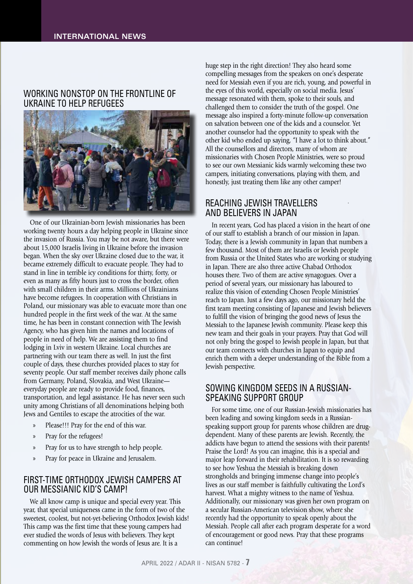#### WORKING NONSTOP ON THE FRONTLINE OF UKRAINE TO HELP REFUGEES



One of our Ukrainian-born Jewish missionaries has been working twenty hours a day helping people in Ukraine since the invasion of Russia. You may be not aware, but there were about 15,000 Israelis living in Ukraine before the invasion began. When the sky over Ukraine closed due to the war, it became extremely difficult to evacuate people. They had to stand in line in terrible icy conditions for thirty, forty, or even as many as fifty hours just to cross the border, often with small children in their arms. Millions of Ukrainians have become refugees. In cooperation with Christians in Poland, our missionary was able to evacuate more than one hundred people in the first week of the war. At the same time, he has been in constant connection with The Jewish Agency, who has given him the names and locations of people in need of help. We are assisting them to find lodging in Lviv in western Ukraine. Local churches are partnering with our team there as well. In just the first couple of days, these churches provided places to stay for seventy people. Our staff member receives daily phone calls from Germany, Poland, Slovakia, and West Ukraine everyday people are ready to provide food, finances, transportation, and legal assistance. He has never seen such unity among Christians of all denominations helping both Jews and Gentiles to escape the atrocities of the war.

- » Please!!! Pray for the end of this war.
- » Pray for the refugees!
- » Pray for us to have strength to help people.
- » Pray for peace in Ukraine and Jerusalem.

#### FIRST-TIME ORTHODOX JEWISH CAMPERS AT OUR MESSIANIC KID'S CAMP!

We all know camp is unique and special every year. This year, that special uniqueness came in the form of two of the sweetest, coolest, but not-yet-believing Orthodox Jewish kids! This camp was the first time that these young campers had ever studied the words of Jesus with believers. They kept commenting on how Jewish the words of Jesus are. It is a

huge step in the right direction! They also heard some compelling messages from the speakers on one's desperate need for Messiah even if you are rich, young, and powerful in the eyes of this world, especially on social media. Jesus' message resonated with them, spoke to their souls, and challenged them to consider the truth of the gospel. One message also inspired a forty-minute follow-up conversation on salvation between one of the kids and a counselor. Yet another counselor had the opportunity to speak with the other kid who ended up saying, "I have a lot to think about." All the counsellors and directors, many of whom are missionaries with Chosen People Ministries, were so proud to see our own Messianic kids warmly welcoming these two campers, initiating conversations, playing with them, and honestly, just treating them like any other camper!

#### REACHING JEWISH TRAVELLERS AND BELIEVERS IN JAPAN

In recent years, God has placed a vision in the heart of one of our staff to establish a branch of our mission in Japan. Today, there is a Jewish community in Japan that numbers a few thousand. Most of them are Israelis or Jewish people from Russia or the United States who are working or studying in Japan. There are also three active Chabad Orthodox houses there. Two of them are active synagogues. Over a period of several years, our missionary has laboured to realize this vision of extending Chosen People Ministries' reach to Japan. Just a few days ago, our missionary held the first team meeting consisting of Japanese and Jewish believers to fulfill the vision of bringing the good news of Jesus the Messiah to the Japanese Jewish community. Please keep this new team and their goals in your prayers. Pray that God will not only bring the gospel to Jewish people in Japan, but that our team connects with churches in Japan to equip and enrich them with a deeper understanding of the Bible from a Jewish perspective.

#### SOWING KINGDOM SEEDS IN A RUSSIAN-SPEAKING SUPPORT GROUP

For some time, one of our Russian-Jewish missionaries has been leading and sowing kingdom seeds in a Russianspeaking support group for parents whose children are drugdependent. Many of these parents are Jewish. Recently, the addicts have begun to attend the sessions with their parents! Praise the Lord! As you can imagine, this is a special and major leap forward in their rehabilitation. It is so rewarding to see how Yeshua the Messiah is breaking down strongholds and bringing immense change into people's lives as our staff member is faithfully cultivating the Lord's harvest. What a mighty witness to the name of Yeshua. Additionally, our missionary was given her own program on a secular Russian-American television show, where she recently had the opportunity to speak openly about the Messiah. People call after each program desperate for a word of encouragement or good news. Pray that these programs can continue!